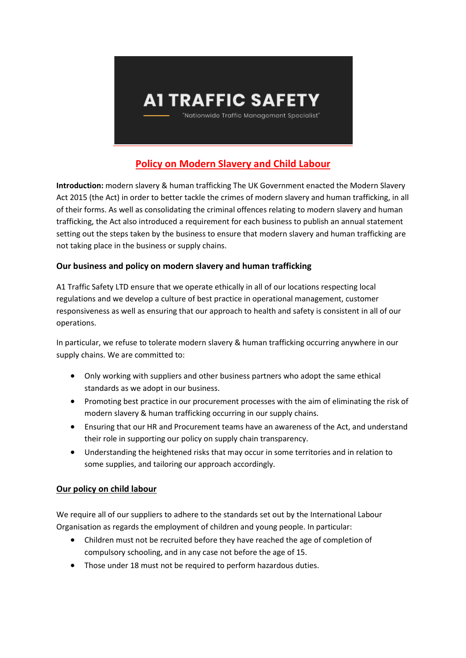

# **Policy on Modern Slavery and Child Labour**

**Introduction:** modern slavery & human trafficking The UK Government enacted the Modern Slavery Act 2015 (the Act) in order to better tackle the crimes of modern slavery and human trafficking, in all of their forms. As well as consolidating the criminal offences relating to modern slavery and human trafficking, the Act also introduced a requirement for each business to publish an annual statement setting out the steps taken by the business to ensure that modern slavery and human trafficking are not taking place in the business or supply chains.

## **Our business and policy on modern slavery and human trafficking**

A1 Traffic Safety LTD ensure that we operate ethically in all of our locations respecting local regulations and we develop a culture of best practice in operational management, customer responsiveness as well as ensuring that our approach to health and safety is consistent in all of our operations.

In particular, we refuse to tolerate modern slavery & human trafficking occurring anywhere in our supply chains. We are committed to:

- Only working with suppliers and other business partners who adopt the same ethical standards as we adopt in our business.
- Promoting best practice in our procurement processes with the aim of eliminating the risk of modern slavery & human trafficking occurring in our supply chains.
- Ensuring that our HR and Procurement teams have an awareness of the Act, and understand their role in supporting our policy on supply chain transparency.
- Understanding the heightened risks that may occur in some territories and in relation to some supplies, and tailoring our approach accordingly.

### **Our policy on child labour**

We require all of our suppliers to adhere to the standards set out by the International Labour Organisation as regards the employment of children and young people. In particular:

- Children must not be recruited before they have reached the age of completion of compulsory schooling, and in any case not before the age of 15.
- Those under 18 must not be required to perform hazardous duties.